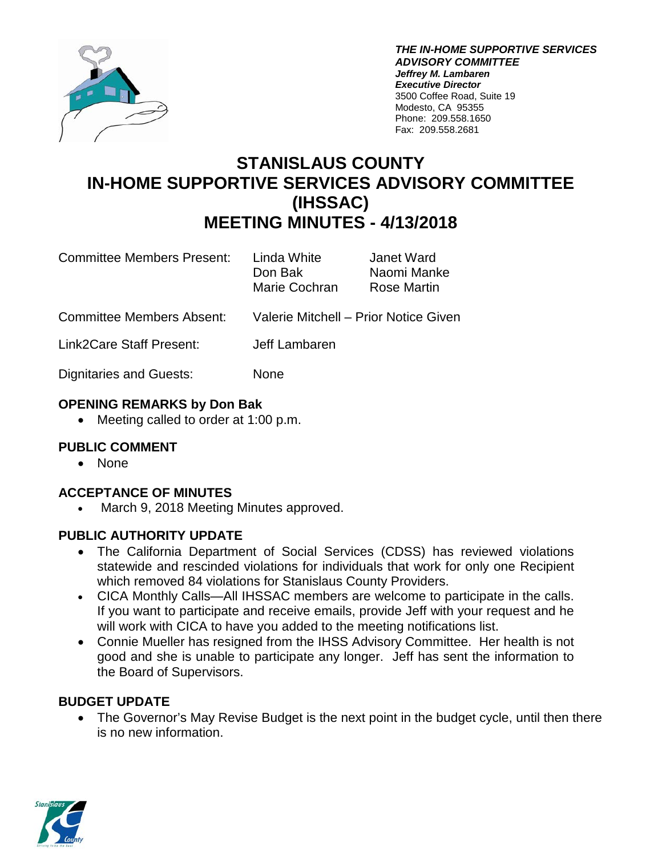

*THE IN-HOME SUPPORTIVE SERVICES ADVISORY COMMITTEE Jeffrey M. Lambaren Executive Director* 3500 Coffee Road, Suite 19 Modesto, CA 95355 Phone: 209.558.1650 Fax: 209.558.2681

# **STANISLAUS COUNTY IN-HOME SUPPORTIVE SERVICES ADVISORY COMMITTEE (IHSSAC) MEETING MINUTES - 4/13/2018**

Committee Members Present: Linda White Janet Ward

Don Bak Naomi Manke Marie Cochran Rose Martin

- Committee Members Absent: Valerie Mitchell Prior Notice Given
- Link2Care Staff Present: Jeff Lambaren

Dignitaries and Guests: None

# **OPENING REMARKS by Don Bak**

• Meeting called to order at 1:00 p.m.

# **PUBLIC COMMENT**

• None

# **ACCEPTANCE OF MINUTES**

• March 9, 2018 Meeting Minutes approved.

# **PUBLIC AUTHORITY UPDATE**

- The California Department of Social Services (CDSS) has reviewed violations statewide and rescinded violations for individuals that work for only one Recipient which removed 84 violations for Stanislaus County Providers.
- CICA Monthly Calls—All IHSSAC members are welcome to participate in the calls. If you want to participate and receive emails, provide Jeff with your request and he will work with CICA to have you added to the meeting notifications list.
- Connie Mueller has resigned from the IHSS Advisory Committee. Her health is not good and she is unable to participate any longer. Jeff has sent the information to the Board of Supervisors.

# **BUDGET UPDATE**

• The Governor's May Revise Budget is the next point in the budget cycle, until then there is no new information.

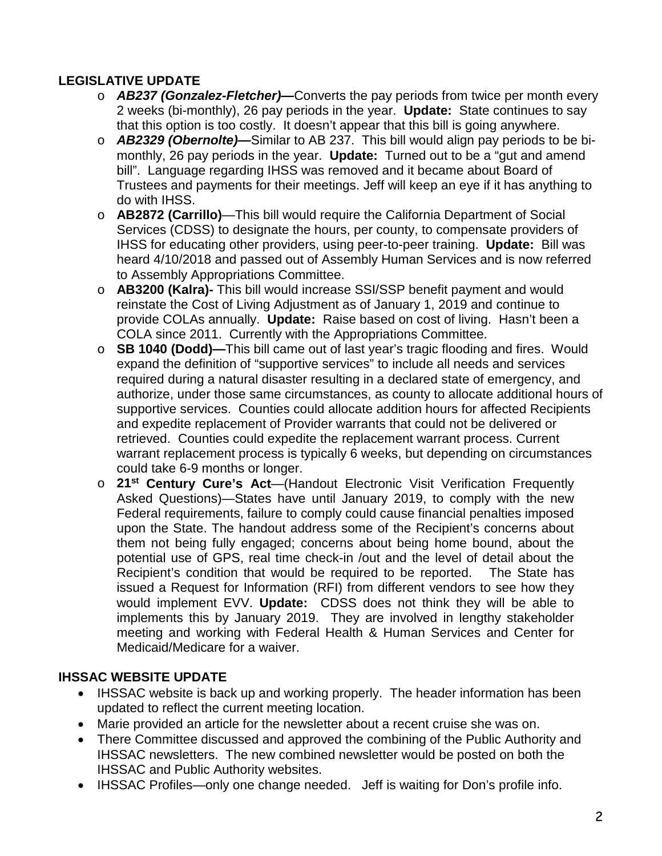# **LEGISLATIVE UPDATE**

- o *AB237 (Gonzalez-Fletcher)—*Converts the pay periods from twice per month every 2 weeks (bi-monthly), 26 pay periods in the year. **Update:** State continues to say that this option is too costly. It doesn't appear that this bill is going anywhere.
- o *AB2329 (Obernolte)—*Similar to AB 237. This bill would align pay periods to be bimonthly, 26 pay periods in the year. **Update:** Turned out to be a "gut and amend bill". Language regarding IHSS was removed and it became about Board of Trustees and payments for their meetings. Jeff will keep an eye if it has anything to do with IHSS.
- o **AB2872 (Carrillo)**—This bill would require the California Department of Social Services (CDSS) to designate the hours, per county, to compensate providers of IHSS for educating other providers, using peer-to-peer training. **Update:** Bill was heard 4/10/2018 and passed out of Assembly Human Services and is now referred to Assembly Appropriations Committee.
- o **AB3200 (Kalra)-** This bill would increase SSI/SSP benefit payment and would reinstate the Cost of Living Adjustment as of January 1, 2019 and continue to provide COLAs annually. **Update:** Raise based on cost of living. Hasn't been a COLA since 2011. Currently with the Appropriations Committee.
- o **SB 1040 (Dodd)—**This bill came out of last year's tragic flooding and fires. Would expand the definition of "supportive services" to include all needs and services required during a natural disaster resulting in a declared state of emergency, and authorize, under those same circumstances, as county to allocate additional hours of supportive services. Counties could allocate addition hours for affected Recipients and expedite replacement of Provider warrants that could not be delivered or retrieved. Counties could expedite the replacement warrant process. Current warrant replacement process is typically 6 weeks, but depending on circumstances could take 6-9 months or longer.
- o **21st Century Cure's Act**—(Handout Electronic Visit Verification Frequently Asked Questions)—States have until January 2019, to comply with the new Federal requirements, failure to comply could cause financial penalties imposed upon the State. The handout address some of the Recipient's concerns about them not being fully engaged; concerns about being home bound, about the potential use of GPS, real time check-in /out and the level of detail about the Recipient's condition that would be required to be reported. The State has issued a Request for Information (RFI) from different vendors to see how they would implement EVV. **Update:** CDSS does not think they will be able to implements this by January 2019. They are involved in lengthy stakeholder meeting and working with Federal Health & Human Services and Center for Medicaid/Medicare for a waiver.

# **IHSSAC WEBSITE UPDATE**

- IHSSAC website is back up and working properly. The header information has been updated to reflect the current meeting location.
- Marie provided an article for the newsletter about a recent cruise she was on.
- There Committee discussed and approved the combining of the Public Authority and IHSSAC newsletters. The new combined newsletter would be posted on both the IHSSAC and Public Authority websites.
- IHSSAC Profiles—only one change needed. Jeff is waiting for Don's profile info.